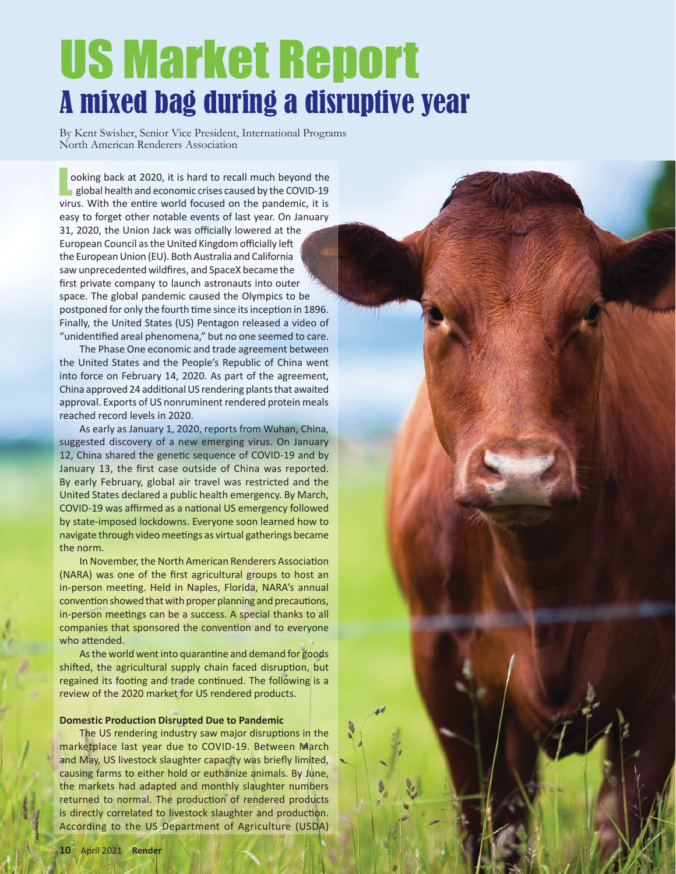# US Market Report A mixed bag during a disruptive year

By Kent Swisher, Senior Vice President, International Programs North American Renderers Association

L ooking back at 2020, it is hard to recall much beyond the  $\blacksquare$  global health and economic crises caused by the COVID-19 virus. With the entire world focused on the pandemic, it is easy to forget other notable events of last year. On January 31, 2020, the Union Jack was officially lowered at the European Council as the United Kingdom officially left the European Union (EU). Both Australia and California saw unprecedented wildfires, and SpaceX became the first private company to launch astronauts into outer space. The global pandemic caused the Olympics to be postponed for only the fourth time since its inception in 1896. Finally, the United States (US) Pentagon released a video of "unidentified areal phenomena," but no one seemed to care.

The Phase One economic and trade agreement between the United States and the People's Republic of China went into force on February 14, 2020. As part of the agreement, China approved 24 additional US rendering plants that awaited approval. Exports of US nonruminent rendered protein meals reached record levels in 2020.

As early as January 1, 2020, reports from Wuhan, China, suggested discovery of a new emerging virus. On January 12, China shared the genetic sequence of COVID-19 and by January 13, the first case outside of China was reported. By early February, global air travel was restricted and the United States declared a public health emergency. By March, COVID-19 was affirmed as a national US emergency followed by state-imposed lockdowns. Everyone soon learned how to navigate through video meetings as virtual gatherings became the norm.

In November, the North American Renderers Association (NARA) was one of the first agricultural groups to host an in-person meeting. Held in Naples, Florida, NARA's annual convention showed that with proper planning and precautions, in-person meetings can be a success. A special thanks to all companies that sponsored the convention and to everyone who attended.

As the world went into quarantine and demand for goods shifted, the agricultural supply chain faced disruption, but regained its footing and trade continued. The following is a review of the 2020 market for US rendered products.

## **Domestic Production Disrupted Due to Pandemic**

The US rendering industry saw major disruptions in the marketplace last year due to COVID-19. Between March and May, US livestock slaughter capacity was briefly limited, causing farms to either hold or euthanize animals. By June, the markets had adapted and monthly slaughter numbers returned to normal. The production of rendered products is directly correlated to livestock slaughter and production. According to the US Department of Agriculture (USDA)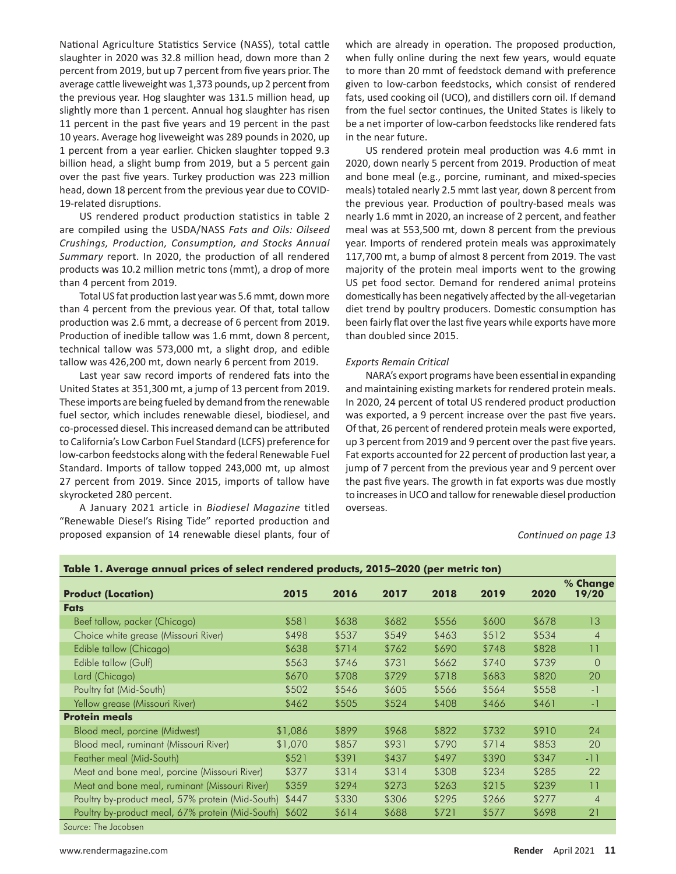National Agriculture Statistics Service (NASS), total cattle slaughter in 2020 was 32.8 million head, down more than 2 percent from 2019, but up 7 percent from five years prior. The average cattle liveweight was 1,373 pounds, up 2 percent from the previous year. Hog slaughter was 131.5 million head, up slightly more than 1 percent. Annual hog slaughter has risen 11 percent in the past five years and 19 percent in the past 10 years. Average hog liveweight was 289 pounds in 2020, up 1 percent from a year earlier. Chicken slaughter topped 9.3 billion head, a slight bump from 2019, but a 5 percent gain over the past five years. Turkey production was 223 million head, down 18 percent from the previous year due to COVID-19-related disruptions.

 US rendered product production statistics in table 2 are compiled using the USDA/NASS *Fats and Oils: Oilseed Crushings, Production, Consumption, and Stocks Annual Summary* report. In 2020, the production of all rendered products was 10.2 million metric tons (mmt), a drop of more than 4 percent from 2019.

Total US fat production last year was 5.6 mmt, down more than 4 percent from the previous year. Of that, total tallow production was 2.6 mmt, a decrease of 6 percent from 2019. Production of inedible tallow was 1.6 mmt, down 8 percent, technical tallow was 573,000 mt, a slight drop, and edible tallow was 426,200 mt, down nearly 6 percent from 2019.

Last year saw record imports of rendered fats into the United States at 351,300 mt, a jump of 13 percent from 2019. These imports are being fueled by demand from the renewable fuel sector, which includes renewable diesel, biodiesel, and co-processed diesel. This increased demand can be attributed to California's Low Carbon Fuel Standard (LCFS) preference for low-carbon feedstocks along with the federal Renewable Fuel Standard. Imports of tallow topped 243,000 mt, up almost 27 percent from 2019. Since 2015, imports of tallow have skyrocketed 280 percent.

 A January 2021 article in *Biodiesel Magazine* titled "Renewable Diesel's Rising Tide" reported production and proposed expansion of 14 renewable diesel plants, four of which are already in operation. The proposed production, when fully online during the next few years, would equate to more than 20 mmt of feedstock demand with preference given to low-carbon feedstocks, which consist of rendered fats, used cooking oil (UCO), and distillers corn oil. If demand from the fuel sector continues, the United States is likely to be a net importer of low-carbon feedstocks like rendered fats in the near future.

US rendered protein meal production was 4.6 mmt in 2020, down nearly 5 percent from 2019. Production of meat and bone meal (e.g., porcine, ruminant, and mixed-species meals) totaled nearly 2.5 mmt last year, down 8 percent from the previous year. Production of poultry-based meals was nearly 1.6 mmt in 2020, an increase of 2 percent, and feather meal was at 553,500 mt, down 8 percent from the previous year. Imports of rendered protein meals was approximately 117,700 mt, a bump of almost 8 percent from 2019. The vast majority of the protein meal imports went to the growing US pet food sector. Demand for rendered animal proteins domestically has been negatively affected by the all-vegetarian diet trend by poultry producers. Domestic consumption has been fairly flat over the last five years while exports have more than doubled since 2015.

### *Exports Remain Critical*

NARA's export programs have been essential in expanding and maintaining existing markets for rendered protein meals. In 2020, 24 percent of total US rendered product production was exported, a 9 percent increase over the past five years. Of that, 26 percent of rendered protein meals were exported, up 3 percent from 2019 and 9 percent over the past five years. Fat exports accounted for 22 percent of production last year, a jump of 7 percent from the previous year and 9 percent over the past five years. The growth in fat exports was due mostly to increases in UCO and tallow for renewable diesel production overseas.

*Continued on page 13*

| Table 1. Average annual prices of select rendered products, 2015–2020 (per metric ton) |         |       |       |       |       |       |                   |  |  |
|----------------------------------------------------------------------------------------|---------|-------|-------|-------|-------|-------|-------------------|--|--|
| <b>Product (Location)</b>                                                              | 2015    | 2016  | 2017  | 2018  | 2019  | 2020  | % Change<br>19/20 |  |  |
| <b>Fats</b>                                                                            |         |       |       |       |       |       |                   |  |  |
| Beef tallow, packer (Chicago)                                                          | \$581   | \$638 | \$682 | \$556 | \$600 | \$678 | 13                |  |  |
| Choice white grease (Missouri River)                                                   | \$498   | \$537 | \$549 | \$463 | \$512 | \$534 | $\overline{4}$    |  |  |
| Edible tallow (Chicago)                                                                | \$638   | \$714 | \$762 | \$690 | \$748 | \$828 | 11                |  |  |
| Edible tallow (Gulf)                                                                   | \$563   | \$746 | \$731 | \$662 | \$740 | \$739 | $\overline{0}$    |  |  |
| Lard (Chicago)                                                                         | \$670   | \$708 | \$729 | \$718 | \$683 | \$820 | 20                |  |  |
| Poultry fat (Mid-South)                                                                | \$502   | \$546 | \$605 | \$566 | \$564 | \$558 | $-1$              |  |  |
| Yellow grease (Missouri River)                                                         | \$462   | \$505 | \$524 | \$408 | \$466 | \$461 | $-1$              |  |  |
| <b>Protein meals</b>                                                                   |         |       |       |       |       |       |                   |  |  |
| Blood meal, porcine (Midwest)                                                          | \$1,086 | \$899 | \$968 | \$822 | \$732 | \$910 | 24                |  |  |
| Blood meal, ruminant (Missouri River)                                                  | \$1,070 | \$857 | \$931 | \$790 | \$714 | \$853 | 20                |  |  |
| Feather meal (Mid-South)                                                               | \$521   | \$391 | \$437 | \$497 | \$390 | \$347 | -11               |  |  |
| Meat and bone meal, porcine (Missouri River)                                           | \$377   | \$314 | \$314 | \$308 | \$234 | \$285 | 22                |  |  |
| Meat and bone meal, ruminant (Missouri River)                                          | \$359   | \$294 | \$273 | \$263 | \$215 | \$239 | 11                |  |  |
| Poultry by-product meal, 57% protein (Mid-South)                                       | \$447   | \$330 | \$306 | \$295 | \$266 | \$277 | $\overline{4}$    |  |  |
| Poultry by-product meal, 67% protein (Mid-South)                                       | \$602   | \$614 | \$688 | \$721 | \$577 | \$698 | 21                |  |  |
| Connect The Hardbook (1977)                                                            |         |       |       |       |       |       |                   |  |  |

*Source*: The Jacobsen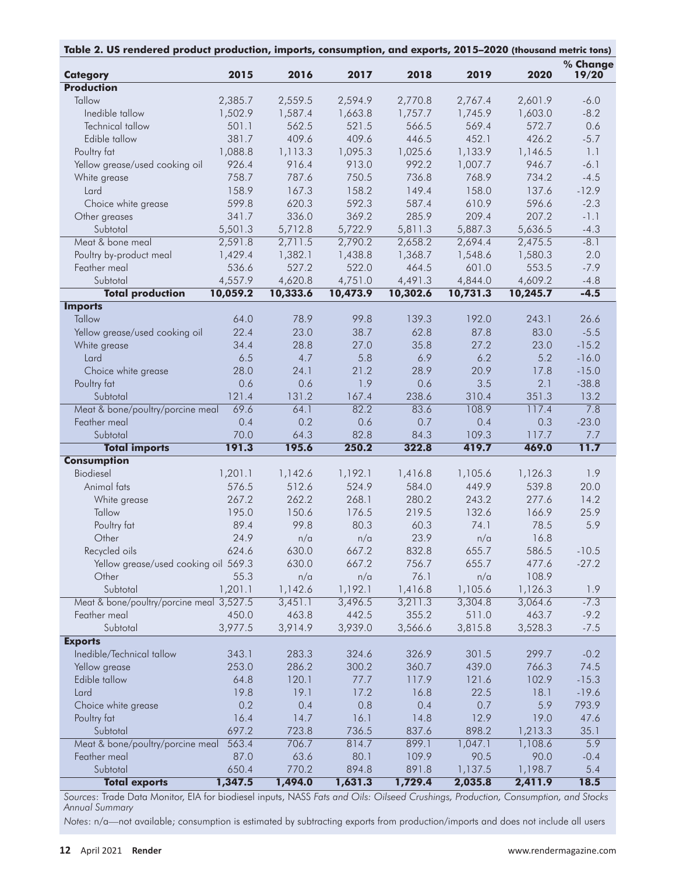| Table 2. US rendered product production, imports, consumption, and exports, 2015-2020 (thousand metric tons) |               |               |               |               |                |                |                   |  |
|--------------------------------------------------------------------------------------------------------------|---------------|---------------|---------------|---------------|----------------|----------------|-------------------|--|
| <b>Category</b>                                                                                              | 2015          | 2016          | 2017          | 2018          | 2019           | 2020           | % Change<br>19/20 |  |
| <b>Production</b>                                                                                            |               |               |               |               |                |                |                   |  |
| Tallow                                                                                                       | 2,385.7       | 2,559.5       | 2,594.9       | 2,770.8       | 2,767.4        | 2,601.9        | $-6.0$            |  |
| Inedible tallow                                                                                              | 1,502.9       | 1,587.4       | 1,663.8       | 1,757.7       | 1,745.9        | 1,603.0        | $-8.2$            |  |
| Technical tallow                                                                                             | 501.1         | 562.5         | 521.5         | 566.5         | 569.4          | 572.7          | 0.6               |  |
| Edible tallow                                                                                                | 381.7         | 409.6         | 409.6         | 446.5         | 452.1          | 426.2          | $-5.7$            |  |
| Poultry fat                                                                                                  | 1,088.8       | 1,113.3       | 1,095.3       | 1,025.6       | 1,133.9        | 1,146.5        | 1.1               |  |
| Yellow grease/used cooking oil                                                                               | 926.4         | 916.4         | 913.0         | 992.2         | 1,007.7        | 946.7          | $-6.1$            |  |
| White grease                                                                                                 | 758.7         | 787.6         | 750.5         | 736.8         | 768.9          | 734.2          | $-4.5$            |  |
| Lard                                                                                                         | 158.9         | 167.3         | 158.2         | 149.4         | 158.0          | 137.6          | $-12.9$           |  |
| Choice white grease                                                                                          | 599.8         | 620.3         | 592.3         | 587.4         | 610.9          | 596.6          | $-2.3$            |  |
| Other greases                                                                                                | 341.7         | 336.0         | 369.2         | 285.9         | 209.4          | 207.2          | $-1.1$            |  |
| Subtotal                                                                                                     | 5,501.3       | 5,712.8       | 5,722.9       | 5,811.3       | 5,887.3        | 5,636.5        | $-4.3$            |  |
| Meat & bone meal                                                                                             | 2,591.8       | 2,711.5       | 2,790.2       | 2,658.2       | 2,694.4        | 2,475.5        | $-8.1$            |  |
| Poultry by-product meal                                                                                      | 1,429.4       | 1,382.1       | 1,438.8       | 1,368.7       | 1,548.6        | 1,580.3        | 2.0               |  |
| Feather meal                                                                                                 | 536.6         | 527.2         | 522.0         | 464.5         | 601.0          | 553.5          | $-7.9$            |  |
| Subtotal                                                                                                     | 4,557.9       | 4,620.8       | 4,751.0       | 4,491.3       | 4,844.0        | 4,609.2        | $-4.8$            |  |
| <b>Total production</b>                                                                                      | 10,059.2      | 10,333.6      | 10,473.9      | 10,302.6      | 10,731.3       | 10,245.7       | $-4.5$            |  |
| <b>Imports</b>                                                                                               |               |               |               |               |                |                |                   |  |
| Tallow                                                                                                       | 64.0          | 78.9          | 99.8          | 139.3         | 192.0          | 243.1          | 26.6              |  |
| Yellow grease/used cooking oil                                                                               | 22.4          | 23.0          | 38.7          | 62.8          | 87.8           | 83.0           | $-5.5$            |  |
| White grease                                                                                                 | 34.4          | 28.8          | 27.0          | 35.8          | 27.2           | 23.0           | $-15.2$           |  |
| Lard                                                                                                         | 6.5           | 4.7           | 5.8           | 6.9           | 6.2            | 5.2            | $-16.0$           |  |
| Choice white grease                                                                                          | 28.0          | 24.1          | 21.2          | 28.9          | 20.9           | 17.8           | $-15.0$           |  |
| Poultry fat                                                                                                  | 0.6           | 0.6           | 1.9           | 0.6           | 3.5            | 2.1            | $-38.8$           |  |
| Subtotal                                                                                                     | 121.4         | 131.2         | 167.4         | 238.6         | 310.4          | 351.3          | 13.2              |  |
|                                                                                                              | 69.6          | 64.1          | 82.2          | 83.6          | 108.9          | 117.4          | 7.8               |  |
| Meat & bone/poultry/porcine meal<br>Feather meal                                                             | 0.4           | 0.2           |               | 0.7           |                |                |                   |  |
|                                                                                                              |               |               | 0.6           |               | 0.4            | 0.3            | $-23.0$           |  |
| Subtotal                                                                                                     | 70.0<br>191.3 | 64.3<br>195.6 | 82.8<br>250.2 | 84.3<br>322.8 | 109.3<br>419.7 | 117.7<br>469.0 | 7.7<br>11.7       |  |
| <b>Total imports</b><br><b>Consumption</b>                                                                   |               |               |               |               |                |                |                   |  |
| Biodiesel                                                                                                    | 1,201.1       | 1,142.6       | 1,192.1       | 1,416.8       | 1,105.6        | 1,126.3        | 1.9               |  |
| Animal fats                                                                                                  | 576.5         | 512.6         | 524.9         | 584.0         | 449.9          | 539.8          | 20.0              |  |
|                                                                                                              | 267.2         | 262.2         | 268.1         | 280.2         | 243.2          | 277.6          | 14.2              |  |
| White grease                                                                                                 |               |               |               |               |                |                | 25.9              |  |
| Tallow                                                                                                       | 195.0         | 150.6         | 176.5<br>80.3 | 219.5         | 132.6          | 166.9          |                   |  |
| Poultry fat                                                                                                  | 89.4          | 99.8          |               | 60.3          | 74.1           | 78.5           | 5.9               |  |
| Other                                                                                                        | 24.9          | n/a           | n/a           | 23.9          | n/a            | 16.8           |                   |  |
| Recycled oils                                                                                                | 624.6         | 630.0         | 667.2         | 832.8         | 655.7          | 586.5          | $-10.5$           |  |
| Yellow grease/used cooking oil 569.3                                                                         |               | 630.0         | 667.2         | 756.7         | 655.7          | 477.6          | $-27.2$           |  |
| Other                                                                                                        | 55.3          | n/a           | n/a           | 76.1          | n/a            | 108.9          |                   |  |
| Subtotal                                                                                                     | 1,201.1       | 1,142.6       | 1,192.1       | 1,416.8       | 1,105.6        | 1,126.3        | 1.9               |  |
| Meat & bone/poultry/porcine meal 3,527.5                                                                     |               | 3,451.1       | 3,496.5       | 3,211.3       | 3,304.8        | 3,064.6        | $-7.3$            |  |
| Feather meal                                                                                                 | 450.0         | 463.8         | 442.5         | 355.2         | 511.0          | 463.7          | $-9.2$            |  |
| Subtotal                                                                                                     | 3,977.5       | 3,914.9       | 3,939.0       | 3,566.6       | 3,815.8        | 3,528.3        | $-7.5$            |  |
| <b>Exports</b><br>Inedible/Technical tallow                                                                  | 343.1         | 283.3         | 324.6         | 326.9         | 301.5          | 299.7          | $-0.2$            |  |
|                                                                                                              | 253.0         | 286.2         | 300.2         | 360.7         | 439.0          | 766.3          | 74.5              |  |
| Yellow grease<br>Edible tallow                                                                               | 64.8          | 120.1         | 77.7          | 117.9         | 121.6          | 102.9          | $-15.3$           |  |
|                                                                                                              |               |               |               |               |                |                |                   |  |
| Lard                                                                                                         | 19.8          | 19.1          | 17.2          | 16.8          | 22.5           | 18.1           | $-19.6$           |  |
| Choice white grease                                                                                          | 0.2           | 0.4           | 0.8           | 0.4           | 0.7            | 5.9            | 793.9             |  |
| Poultry fat                                                                                                  | 16.4          | 14.7          | 16.1          | 14.8          | 12.9           | 19.0           | 47.6              |  |
| Subtotal                                                                                                     | 697.2         | 723.8         | 736.5         | 837.6         | 898.2          | 1,213.3        | 35.1              |  |
| Meat & bone/poultry/porcine meal                                                                             | 563.4         | 706.7         | 814.7         | 899.1         | 1,047.1        | 1,108.6        | $\overline{5.9}$  |  |
| Feather meal                                                                                                 | 87.0          | 63.6          | 80.1          | 109.9         | 90.5           | 90.0           | $-0.4$            |  |
| Subtotal                                                                                                     | 650.4         | 770.2         | 894.8         | 891.8         | 1,137.5        | 1,198.7        | 5.4               |  |
| <b>Total exports</b>                                                                                         | 1,347.5       | 1,494.0       | 1,631.3       | 1,729.4       | 2,035.8        | 2,411.9        | 18.5              |  |

*Sources*: Trade Data Monitor, EIA for biodiesel inputs, NASS *Fats and Oils: Oilseed Crushings, Production, Consumption, and Stocks Annual Summary*

*Notes*: n/a—not available; consumption is estimated by subtracting exports from production/imports and does not include all users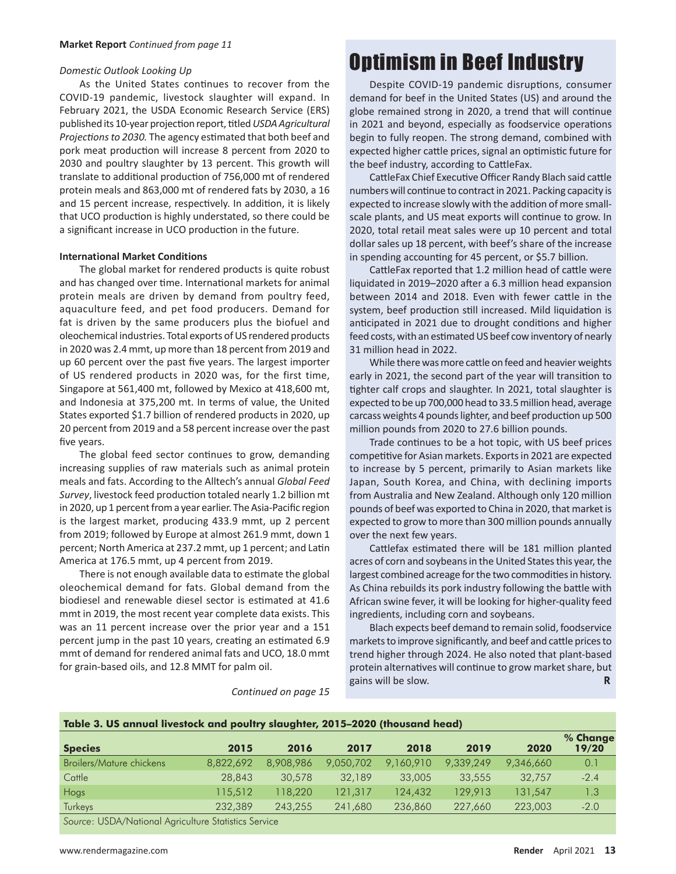### Domestic Outlook Looking Up

As the United States continues to recover from the COVID-19 pandemic, livestock slaughter will expand. In February 2021, the USDA Economic Research Service (ERS) published its 10-year projection report, titled USDA Agricultural Projections to 2030. The agency estimated that both beef and pork meat production will increase 8 percent from 2020 to 2030 and poultry slaughter by 13 percent. This growth will translate to additional production of 756,000 mt of rendered protein meals and 863,000 mt of rendered fats by 2030, a 16 and 15 percent increase, respectively. In addition, it is likely that UCO production is highly understated, so there could be a significant increase in UCO production in the future.

### **International Market Conditions**

The global market for rendered products is quite robust and has changed over time. International markets for animal protein meals are driven by demand from poultry feed, aquaculture feed, and pet food producers. Demand for fat is driven by the same producers plus the biofuel and oleochemical industries. Total exports of US rendered products in 2020 was 2.4 mmt, up more than 18 percent from 2019 and up 60 percent over the past five years. The largest importer of US rendered products in 2020 was, for the first time, Singapore at 561,400 mt, followed by Mexico at 418,600 mt, and Indonesia at 375,200 mt. In terms of value, the United States exported \$1.7 billion of rendered products in 2020, up 20 percent from 2019 and a 58 percent increase over the past five years.

The global feed sector continues to grow, demanding increasing supplies of raw materials such as animal protein meals and fats. According to the Alltech's annual Global Feed Survey, livestock feed production totaled nearly 1.2 billion mt in 2020, up 1 percent from a year earlier. The Asia-Pacific region is the largest market, producing 433.9 mmt, up 2 percent from 2019; followed by Europe at almost 261.9 mmt, down 1 percent; North America at 237.2 mmt, up 1 percent; and Latin America at 176.5 mmt, up 4 percent from 2019.

There is not enough available data to estimate the global oleochemical demand for fats. Global demand from the biodiesel and renewable diesel sector is estimated at 41.6 mmt in 2019, the most recent year complete data exists. This was an 11 percent increase over the prior year and a 151 percent jump in the past 10 years, creating an estimated 6.9 mmt of demand for rendered animal fats and UCO, 18.0 mmt for grain-based oils, and 12.8 MMT for palm oil.

# **Optimism in Beef Industry**

Despite COVID-19 pandemic disruptions, consumer demand for beef in the United States (US) and around the globe remained strong in 2020, a trend that will continue in 2021 and beyond, especially as foodservice operations begin to fully reopen. The strong demand, combined with expected higher cattle prices, signal an optimistic future for the beef industry, according to CattleFax.

CattleFax Chief Executive Officer Randy Blach said cattle numbers will continue to contract in 2021. Packing capacity is expected to increase slowly with the addition of more smallscale plants, and US meat exports will continue to grow. In 2020, total retail meat sales were up 10 percent and total dollar sales up 18 percent, with beef's share of the increase in spending accounting for 45 percent, or \$5.7 billion.

CattleFax reported that 1.2 million head of cattle were liquidated in 2019-2020 after a 6.3 million head expansion between 2014 and 2018. Even with fewer cattle in the system, beef production still increased. Mild liquidation is anticipated in 2021 due to drought conditions and higher feed costs, with an estimated US beef cow inventory of nearly 31 million head in 2022.

While there was more cattle on feed and heavier weights early in 2021, the second part of the year will transition to tighter calf crops and slaughter. In 2021, total slaughter is expected to be up 700,000 head to 33.5 million head, average carcass weights 4 pounds lighter, and beef production up 500 million pounds from 2020 to 27.6 billion pounds.

Trade continues to be a hot topic, with US beef prices competitive for Asian markets. Exports in 2021 are expected to increase by 5 percent, primarily to Asian markets like Japan, South Korea, and China, with declining imports from Australia and New Zealand. Although only 120 million pounds of beef was exported to China in 2020, that market is expected to grow to more than 300 million pounds annually over the next few years.

Cattlefax estimated there will be 181 million planted acres of corn and soybeans in the United States this year, the largest combined acreage for the two commodities in history. As China rebuilds its pork industry following the battle with African swine fever, it will be looking for higher-quality feed ingredients, including corn and soybeans.

Blach expects beef demand to remain solid, foodservice markets to improve significantly, and beef and cattle prices to trend higher through 2024. He also noted that plant-based protein alternatives will continue to grow market share, but gains will be slow. R

Continued on page 15

| Table 3. US annual livestock and poultry slaughter, 2015–2020 (thousand head) |           |           |           |           |           |           |                   |  |
|-------------------------------------------------------------------------------|-----------|-----------|-----------|-----------|-----------|-----------|-------------------|--|
| <b>Species</b>                                                                | 2015      | 2016      | 2017      | 2018      | 2019      | 2020      | % Change<br>19/20 |  |
| Broilers/Mature chickens                                                      | 8,822,692 | 8,908,986 | 9,050,702 | 9,160,910 | 9.339.249 | 9,346,660 | 0.1               |  |
| Cattle                                                                        | 28,843    | 30,578    | 32,189    | 33,005    | 33,555    | 32,757    | $-2.4$            |  |
| Hogs                                                                          | 115,512   | 118,220   | 121,317   | 124,432   | 129,913   | 131,547   | 1.3               |  |
| <b>Turkeys</b>                                                                | 232,389   | 243,255   | 241,680   | 236,860   | 227,660   | 223,003   | $-2.0$            |  |
| Course LICDA (National Agriculture Statistics Convice                         |           |           |           |           |           |           |                   |  |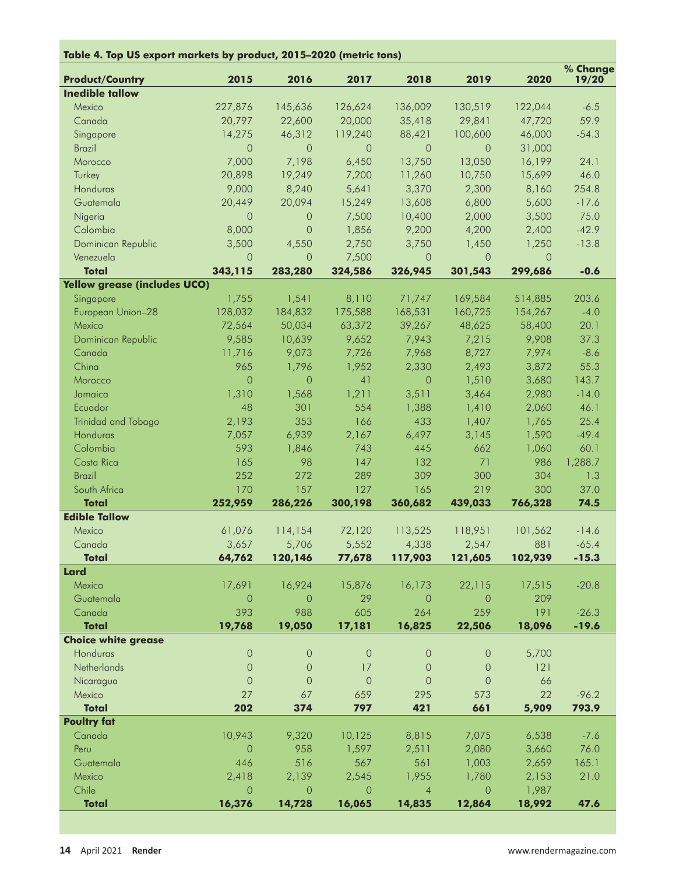| Table 4. Top US export markets by product, 2015-2020 (metric tons) |                 |                  |                 |                  |                  |          |                   |
|--------------------------------------------------------------------|-----------------|------------------|-----------------|------------------|------------------|----------|-------------------|
| <b>Product/Country</b>                                             | 2015            | 2016             | 2017            | 2018             | 2019             | 2020     | % Change<br>19/20 |
| <b>Inedible tallow</b>                                             |                 |                  |                 |                  |                  |          |                   |
| Mexico                                                             | 227,876         | 145,636          | 126,624         | 136,009          | 130,519          | 122,044  | $-6.5$            |
| Canada                                                             | 20,797          | 22,600           | 20,000          | 35,418           | 29,841           | 47,720   | 59.9              |
| Singapore                                                          | 14,275          | 46,312           | 119,240         | 88,421           | 100,600          | 46,000   | $-54.3$           |
| <b>Brazil</b>                                                      | $\Omega$        | $\Omega$         | $\Omega$        | $\Omega$         | $\Omega$         | 31,000   |                   |
| Morocco                                                            | 7,000           | 7,198            | 6,450           | 13,750           | 13,050           | 16,199   | 24.1              |
| Turkey                                                             | 20,898          | 19,249           | 7,200           | 11,260           | 10,750           | 15,699   | 46.0              |
| Honduras                                                           | 9,000           | 8,240            | 5,641           | 3,370            | 2,300            | 8,160    | 254.8             |
| Guatemala                                                          | 20,449          | 20,094           | 15,249          | 13,608           | 6,800            | 5,600    | $-17.6$           |
| Nigeria                                                            | $\circ$         | 0                | 7,500           | 10,400           | 2,000            | 3,500    | 75.0              |
| Colombia                                                           | 8,000           | $\overline{O}$   | 1,856           | 9,200            | 4,200            | 2,400    | $-42.9$           |
| Dominican Republic                                                 | 3,500           | 4,550            | 2,750           | 3,750            | 1,450            | 1,250    | $-13.8$           |
| Venezuela                                                          | $\overline{0}$  | $\circ$          | 7,500           | $\circ$          | $\circ$          | $\Omega$ |                   |
| <b>Total</b>                                                       | 343,115         | 283,280          | 324,586         | 326,945          | 301,543          | 299,686  | $-0.6$            |
| <b>Yellow grease (includes UCO)</b>                                |                 |                  |                 |                  |                  |          |                   |
| Singapore                                                          | 1,755           | 1,541            | 8,110           | 71,747           | 169,584          | 514,885  | 203.6             |
| European Union-28                                                  | 128,032         | 184,832          | 175,588         | 168,531          | 160,725          | 154,267  | $-4.0$            |
| Mexico                                                             | 72,564          | 50,034           | 63,372          | 39,267           | 48,625           | 58,400   | 20.1              |
| Dominican Republic                                                 | 9,585           | 10,639           | 9,652           | 7,943            | 7,215            | 9,908    | 37.3              |
| Canada                                                             | 11,716          | 9,073            | 7,726           | 7,968            | 8,727            | 7,974    | $-8.6$            |
| China                                                              | 965             | 1,796            | 1,952           | 2,330            | 2,493            | 3,872    | 55.3              |
| Morocco                                                            | $\overline{O}$  | $\overline{O}$   | 41              | $\overline{0}$   | 1,510            | 3,680    | 143.7             |
| Jamaica                                                            | 1,310           | 1,568            | 1,211           | 3,511            | 3,464            | 2,980    | $-14.0$           |
| Ecuador                                                            | 48              | 301              | 554             | 1,388            | 1,410            | 2,060    | 46.1              |
| Trinidad and Tobago                                                | 2,193           | 353              | 166             | 433              | 1,407            | 1,765    | 25.4              |
| Honduras                                                           | 7,057           | 6,939            | 2,167           | 6,497            | 3,145            | 1,590    | $-49.4$           |
| Colombia                                                           | 593             | 1,846            | 743             | 445              | 662              | 1,060    | 60.1              |
| Costa Rica                                                         | 165             | 98               | 147             | 132              | 71               | 986      | 1,288.7           |
| <b>Brazil</b>                                                      | 252             | 272              | 289             | 309              | 300              | 304      | 1.3               |
| South Africa                                                       | 170             | 157              | 127             | 165              | 219              | 300      | 37.0              |
| <b>Total</b><br><b>Edible Tallow</b>                               | 252,959         | 286,226          | 300,198         | 360,682          | 439,033          | 766,328  | 74.5              |
| Mexico                                                             |                 |                  | 72,120          | 113,525          | 118,951          | 101,562  | $-14.6$           |
| Canada                                                             | 61,076          | 114,154<br>5,706 |                 |                  |                  | 881      | $-65.4$           |
| <b>Total</b>                                                       | 3,657<br>64,762 | 120,146          | 5,552<br>77,678 | 4,338<br>117,903 | 2,547<br>121,605 | 102,939  | $-15.3$           |
| <b>Lard</b>                                                        |                 |                  |                 |                  |                  |          |                   |
| Mexico                                                             | 17,691          | 16,924           | 15,876          | 16,173           | 22,115           | 17,515   | $-20.8$           |
| Guatemala                                                          | $\overline{0}$  | $\overline{O}$   | 29              | $\overline{0}$   | $\overline{0}$   | 209      |                   |
| Canada                                                             | 393             | 988              | 605             | 264              | 259              | 191      | $-26.3$           |
| <b>Total</b>                                                       | 19,768          | 19,050           | 17,181          | 16,825           | 22,506           | 18,096   | $-19.6$           |
| <b>Choice white grease</b>                                         |                 |                  |                 |                  |                  |          |                   |
| Honduras                                                           | $\circ$         | $\mathsf{O}$     | $\mathsf{O}$    | $\theta$         | $\theta$         | 5,700    |                   |
| Netherlands                                                        | $\overline{0}$  | $\theta$         | 17              | $\theta$         | $\mathbf 0$      | 121      |                   |
| Nicaragua                                                          | $\overline{0}$  | $\overline{0}$   | $\circ$         | $\circ$          | $\circ$          | 66       |                   |
| Mexico                                                             | 27              | 67               | 659             | 295              | 573              | 22       | $-96.2$           |
| <b>Total</b>                                                       | 202             | 374              | 797             | 421              | 661              | 5,909    | 793.9             |
| <b>Poultry fat</b>                                                 |                 |                  |                 |                  |                  |          |                   |
| Canada                                                             | 10,943          | 9,320            | 10,125          | 8,815            | 7,075            | 6,538    | $-7.6$            |
| Peru                                                               | $\circ$         | 958              | 1,597           | 2,511            | 2,080            | 3,660    | 76.0              |
| Guatemala                                                          | 446             | 516              | 567             | 561              | 1,003            | 2,659    | 165.1             |
| Mexico                                                             | 2,418           | 2,139            | 2,545           | 1,955            | 1,780            | 2,153    | 21.0              |
| Chile                                                              | $\Omega$        | $\circ$          | $\circ$         | $\overline{4}$   | $\overline{0}$   | 1,987    |                   |
| <b>Total</b>                                                       | 16,376          | 14,728           | 16,065          | 14,835           | 12,864           | 18,992   | 47.6              |